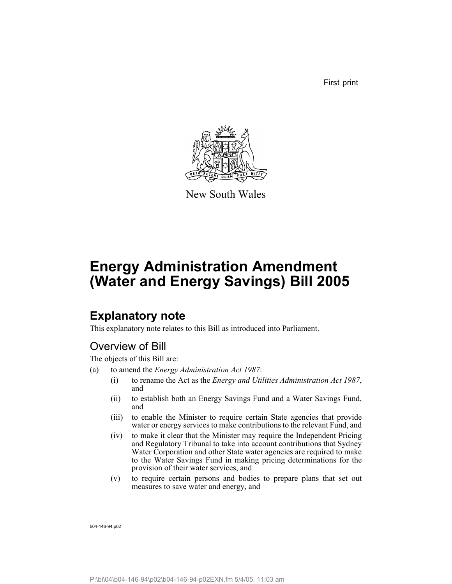First print



New South Wales

# **Energy Administration Amendment (Water and Energy Savings) Bill 2005**

## **Explanatory note**

This explanatory note relates to this Bill as introduced into Parliament.

## Overview of Bill

The objects of this Bill are:

- (a) to amend the *Energy Administration Act 1987*:
	- (i) to rename the Act as the *Energy and Utilities Administration Act 1987*, and
	- (ii) to establish both an Energy Savings Fund and a Water Savings Fund, and
	- (iii) to enable the Minister to require certain State agencies that provide water or energy services to make contributions to the relevant Fund, and
	- (iv) to make it clear that the Minister may require the Independent Pricing and Regulatory Tribunal to take into account contributions that Sydney Water Corporation and other State water agencies are required to make to the Water Savings Fund in making pricing determinations for the provision of their water services, and
	- (v) to require certain persons and bodies to prepare plans that set out measures to save water and energy, and

b04-146-94.p02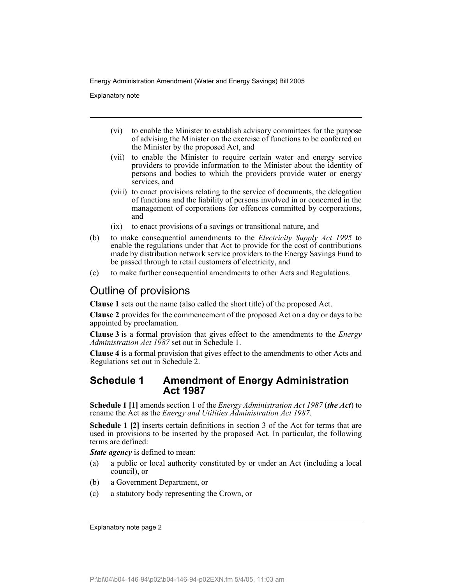Explanatory note

- (vi) to enable the Minister to establish advisory committees for the purpose of advising the Minister on the exercise of functions to be conferred on the Minister by the proposed Act, and
- (vii) to enable the Minister to require certain water and energy service providers to provide information to the Minister about the identity of persons and bodies to which the providers provide water or energy services, and
- (viii) to enact provisions relating to the service of documents, the delegation of functions and the liability of persons involved in or concerned in the management of corporations for offences committed by corporations, and
- (ix) to enact provisions of a savings or transitional nature, and
- (b) to make consequential amendments to the *Electricity Supply Act 1995* to enable the regulations under that Act to provide for the cost of contributions made by distribution network service providers to the Energy Savings Fund to be passed through to retail customers of electricity, and
- (c) to make further consequential amendments to other Acts and Regulations.

### Outline of provisions

**Clause 1** sets out the name (also called the short title) of the proposed Act.

**Clause 2** provides for the commencement of the proposed Act on a day or days to be appointed by proclamation.

**Clause 3** is a formal provision that gives effect to the amendments to the *Energy Administration Act 1987* set out in Schedule 1.

**Clause 4** is a formal provision that gives effect to the amendments to other Acts and Regulations set out in Schedule 2.

### **Schedule 1 Amendment of Energy Administration Act 1987**

**Schedule 1 [1]** amends section 1 of the *Energy Administration Act 1987* (*the Act*) to rename the Act as the *Energy and Utilities Administration Act 1987*.

**Schedule 1 [2]** inserts certain definitions in section 3 of the Act for terms that are used in provisions to be inserted by the proposed Act. In particular, the following terms are defined:

*State agency* is defined to mean:

- (a) a public or local authority constituted by or under an Act (including a local council), or
- (b) a Government Department, or
- (c) a statutory body representing the Crown, or

Explanatory note page 2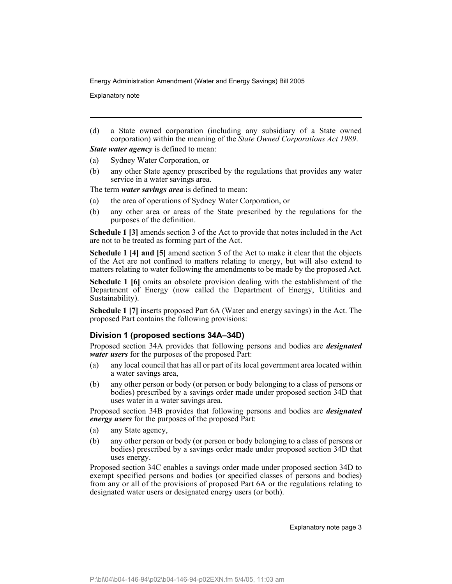Explanatory note

(d) a State owned corporation (including any subsidiary of a State owned corporation) within the meaning of the *State Owned Corporations Act 1989*.

*State water agency* is defined to mean:

- (a) Sydney Water Corporation, or
- (b) any other State agency prescribed by the regulations that provides any water service in a water savings area.

The term *water savings area* is defined to mean:

- (a) the area of operations of Sydney Water Corporation, or
- (b) any other area or areas of the State prescribed by the regulations for the purposes of the definition.

**Schedule 1 [3]** amends section 3 of the Act to provide that notes included in the Act are not to be treated as forming part of the Act.

**Schedule 1 [4] and [5]** amend section 5 of the Act to make it clear that the objects of the Act are not confined to matters relating to energy, but will also extend to matters relating to water following the amendments to be made by the proposed Act.

**Schedule 1 [6]** omits an obsolete provision dealing with the establishment of the Department of Energy (now called the Department of Energy, Utilities and Sustainability).

**Schedule 1 [7]** inserts proposed Part 6A (Water and energy savings) in the Act. The proposed Part contains the following provisions:

### **Division 1 (proposed sections 34A–34D)**

Proposed section 34A provides that following persons and bodies are *designated water users* for the purposes of the proposed Part:

- (a) any local council that has all or part of its local government area located within a water savings area,
- (b) any other person or body (or person or body belonging to a class of persons or bodies) prescribed by a savings order made under proposed section 34D that uses water in a water savings area.

Proposed section 34B provides that following persons and bodies are *designated energy users* for the purposes of the proposed Part:

- (a) any State agency,
- (b) any other person or body (or person or body belonging to a class of persons or bodies) prescribed by a savings order made under proposed section 34D that uses energy.

Proposed section 34C enables a savings order made under proposed section 34D to exempt specified persons and bodies (or specified classes of persons and bodies) from any or all of the provisions of proposed Part 6A or the regulations relating to designated water users or designated energy users (or both).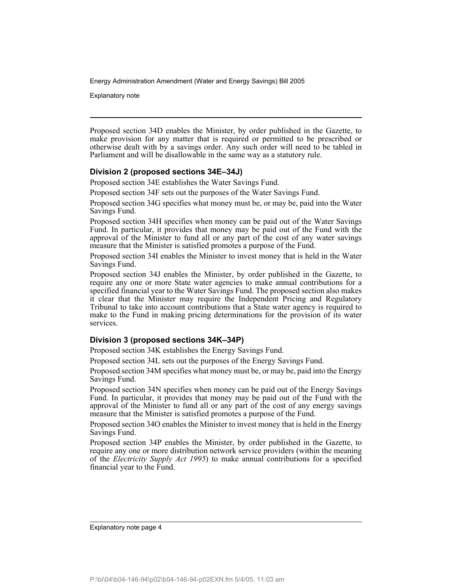Explanatory note

Proposed section 34D enables the Minister, by order published in the Gazette, to make provision for any matter that is required or permitted to be prescribed or otherwise dealt with by a savings order. Any such order will need to be tabled in Parliament and will be disallowable in the same way as a statutory rule.

### **Division 2 (proposed sections 34E–34J)**

Proposed section 34E establishes the Water Savings Fund.

Proposed section 34F sets out the purposes of the Water Savings Fund.

Proposed section 34G specifies what money must be, or may be, paid into the Water Savings Fund.

Proposed section 34H specifies when money can be paid out of the Water Savings Fund. In particular, it provides that money may be paid out of the Fund with the approval of the Minister to fund all or any part of the cost of any water savings measure that the Minister is satisfied promotes a purpose of the Fund.

Proposed section 34I enables the Minister to invest money that is held in the Water Savings Fund.

Proposed section 34J enables the Minister, by order published in the Gazette, to require any one or more State water agencies to make annual contributions for a specified financial year to the Water Savings Fund. The proposed section also makes it clear that the Minister may require the Independent Pricing and Regulatory Tribunal to take into account contributions that a State water agency is required to make to the Fund in making pricing determinations for the provision of its water services.

### **Division 3 (proposed sections 34K–34P)**

Proposed section 34K establishes the Energy Savings Fund.

Proposed section 34L sets out the purposes of the Energy Savings Fund.

Proposed section 34M specifies what money must be, or may be, paid into the Energy Savings Fund.

Proposed section 34N specifies when money can be paid out of the Energy Savings Fund. In particular, it provides that money may be paid out of the Fund with the approval of the Minister to fund all or any part of the cost of any energy savings measure that the Minister is satisfied promotes a purpose of the Fund.

Proposed section 34O enables the Minister to invest money that is held in the Energy Savings Fund.

Proposed section 34P enables the Minister, by order published in the Gazette, to require any one or more distribution network service providers (within the meaning of the *Electricity Supply Act 1995*) to make annual contributions for a specified financial year to the Fund.

Explanatory note page 4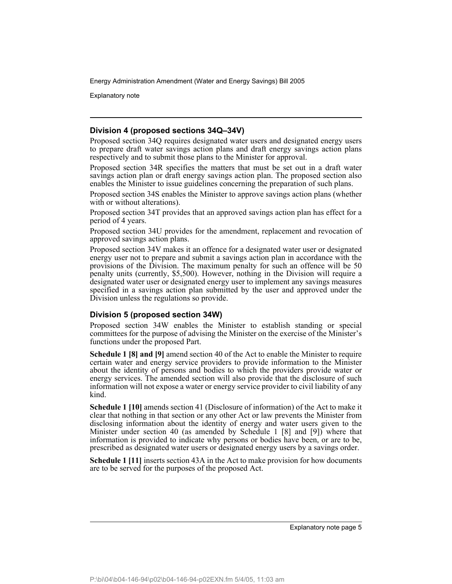Explanatory note

### **Division 4 (proposed sections 34Q–34V)**

Proposed section 34Q requires designated water users and designated energy users to prepare draft water savings action plans and draft energy savings action plans respectively and to submit those plans to the Minister for approval.

Proposed section 34R specifies the matters that must be set out in a draft water savings action plan or draft energy savings action plan. The proposed section also enables the Minister to issue guidelines concerning the preparation of such plans.

Proposed section 34S enables the Minister to approve savings action plans (whether with or without alterations).

Proposed section 34T provides that an approved savings action plan has effect for a period of 4 years.

Proposed section 34U provides for the amendment, replacement and revocation of approved savings action plans.

Proposed section 34V makes it an offence for a designated water user or designated energy user not to prepare and submit a savings action plan in accordance with the provisions of the Division. The maximum penalty for such an offence will be 50 penalty units (currently, \$5,500). However, nothing in the Division will require a designated water user or designated energy user to implement any savings measures specified in a savings action plan submitted by the user and approved under the Division unless the regulations so provide.

### **Division 5 (proposed section 34W)**

Proposed section 34W enables the Minister to establish standing or special committees for the purpose of advising the Minister on the exercise of the Minister's functions under the proposed Part.

**Schedule 1 [8] and [9]** amend section 40 of the Act to enable the Minister to require certain water and energy service providers to provide information to the Minister about the identity of persons and bodies to which the providers provide water or energy services. The amended section will also provide that the disclosure of such information will not expose a water or energy service provider to civil liability of any kind.

**Schedule 1 [10]** amends section 41 (Disclosure of information) of the Act to make it clear that nothing in that section or any other Act or law prevents the Minister from disclosing information about the identity of energy and water users given to the Minister under section 40 (as amended by Schedule 1 [8] and [9]) where that information is provided to indicate why persons or bodies have been, or are to be, prescribed as designated water users or designated energy users by a savings order.

**Schedule 1 [11]** inserts section 43A in the Act to make provision for how documents are to be served for the purposes of the proposed Act.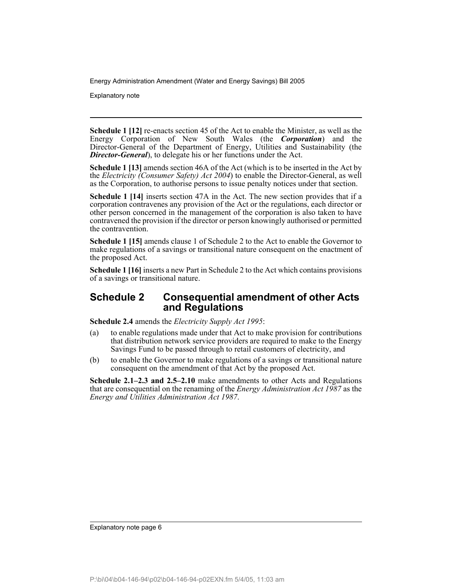Explanatory note

**Schedule 1 [12]** re-enacts section 45 of the Act to enable the Minister, as well as the Energy Corporation of New South Wales (the *Corporation*) and the Director-General of the Department of Energy, Utilities and Sustainability (the *Director-General*), to delegate his or her functions under the Act.

**Schedule 1 [13]** amends section 46A of the Act (which is to be inserted in the Act by the *Electricity (Consumer Safety) Act 2004*) to enable the Director-General, as well as the Corporation, to authorise persons to issue penalty notices under that section.

**Schedule 1 [14]** inserts section 47A in the Act. The new section provides that if a corporation contravenes any provision of the Act or the regulations, each director or other person concerned in the management of the corporation is also taken to have contravened the provision if the director or person knowingly authorised or permitted the contravention.

**Schedule 1 [15]** amends clause 1 of Schedule 2 to the Act to enable the Governor to make regulations of a savings or transitional nature consequent on the enactment of the proposed Act.

**Schedule 1 [16]** inserts a new Part in Schedule 2 to the Act which contains provisions of a savings or transitional nature.

### **Schedule 2 Consequential amendment of other Acts and Regulations**

**Schedule 2.4** amends the *Electricity Supply Act 1995*:

- (a) to enable regulations made under that Act to make provision for contributions that distribution network service providers are required to make to the Energy Savings Fund to be passed through to retail customers of electricity, and
- (b) to enable the Governor to make regulations of a savings or transitional nature consequent on the amendment of that Act by the proposed Act.

**Schedule 2.1–2.3 and 2.5–2.10** make amendments to other Acts and Regulations that are consequential on the renaming of the *Energy Administration Act 1987* as the *Energy and Utilities Administration Act 1987*.

Explanatory note page 6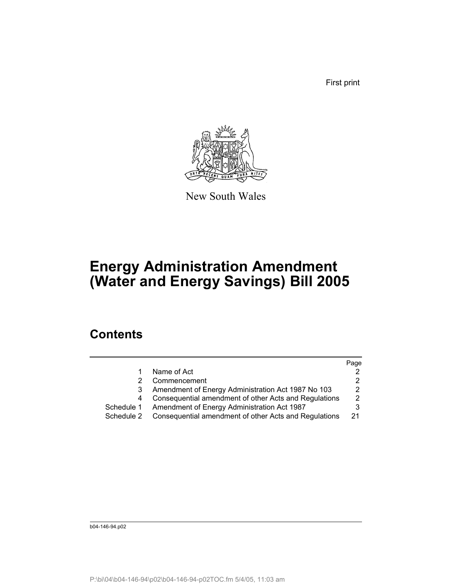First print



New South Wales

# **Energy Administration Amendment (Water and Energy Savings) Bill 2005**

## **Contents**

|            |                                                       | Page |
|------------|-------------------------------------------------------|------|
|            | Name of Act                                           |      |
|            | Commencement                                          |      |
|            | Amendment of Energy Administration Act 1987 No 103    | 2    |
| 4          | Consequential amendment of other Acts and Regulations | 2    |
| Schedule 1 | Amendment of Energy Administration Act 1987           | 3    |
| Schedule 2 | Consequential amendment of other Acts and Regulations | -21  |
|            |                                                       |      |

b04-146-94.p02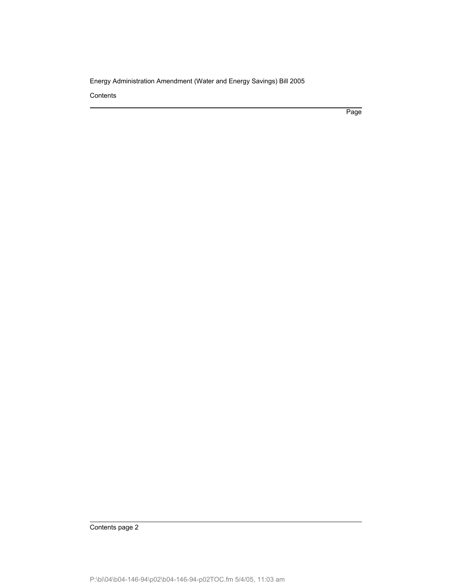**Contents** 

Page

Contents page 2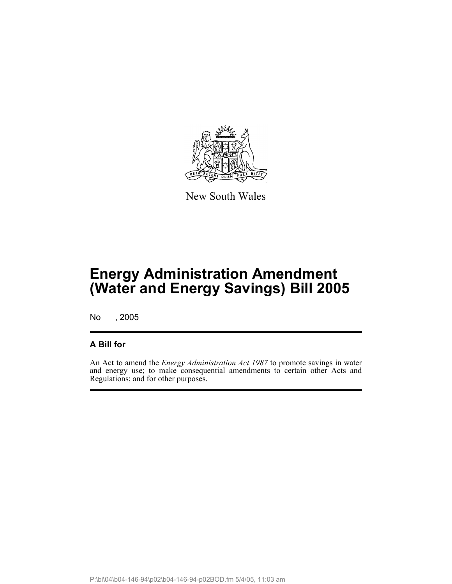

New South Wales

No , 2005

### **A Bill for**

An Act to amend the *Energy Administration Act 1987* to promote savings in water and energy use; to make consequential amendments to certain other Acts and Regulations; and for other purposes.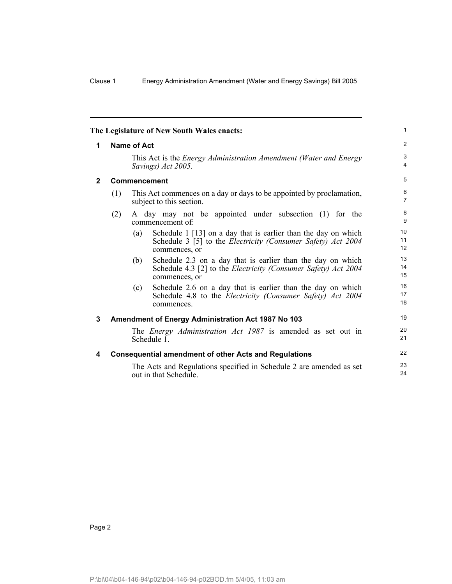|              |             | The Legislature of New South Wales enacts:                                                                                                                    | $\mathbf{1}$        |  |  |  |
|--------------|-------------|---------------------------------------------------------------------------------------------------------------------------------------------------------------|---------------------|--|--|--|
| 1            | Name of Act |                                                                                                                                                               |                     |  |  |  |
|              |             | This Act is the <i>Energy Administration Amendment (Water and Energy</i><br>Savings) Act 2005.                                                                | 3<br>$\overline{4}$ |  |  |  |
| $\mathbf{2}$ |             | Commencement                                                                                                                                                  | 5                   |  |  |  |
|              | (1)         | This Act commences on a day or days to be appointed by proclamation,<br>subject to this section.                                                              | 6<br>$\overline{7}$ |  |  |  |
|              | (2)         | A day may not be appointed under subsection (1) for the<br>commencement of:                                                                                   | 8<br>9              |  |  |  |
|              |             | Schedule 1 [13] on a day that is earlier than the day on which<br>(a)<br>Schedule 3 [5] to the <i>Electricity (Consumer Safety) Act 2004</i><br>commences, or | 10<br>11<br>12      |  |  |  |
|              |             | Schedule 2.3 on a day that is earlier than the day on which<br>(b)<br>Schedule 4.3 [2] to the <i>Electricity (Consumer Safety) Act 2004</i><br>commences, or  | 13<br>14<br>15      |  |  |  |
|              |             | Schedule 2.6 on a day that is earlier than the day on which<br>(c)<br>Schedule 4.8 to the <i>Electricity (Consumer Safety) Act 2004</i><br>commences.         | 16<br>17<br>18      |  |  |  |
| 3            |             | Amendment of Energy Administration Act 1987 No 103                                                                                                            | 19                  |  |  |  |
|              |             | The <i>Energy Administration Act 1987</i> is amended as set out in<br>Schedule 1.                                                                             | 20<br>21            |  |  |  |
| 4            |             | <b>Consequential amendment of other Acts and Regulations</b>                                                                                                  | 22                  |  |  |  |
|              |             | The Acts and Regulations specified in Schedule 2 are amended as set<br>out in that Schedule.                                                                  | 23<br>24            |  |  |  |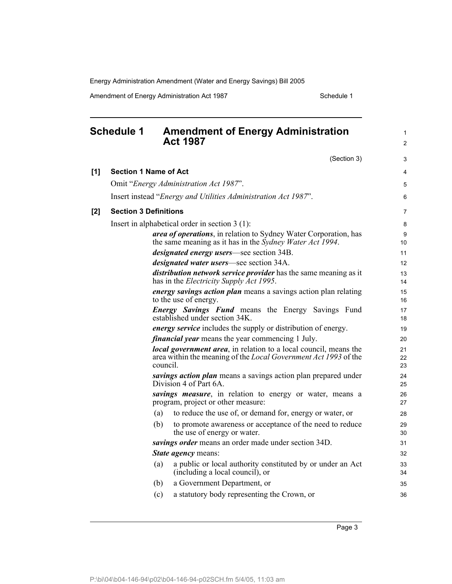Amendment of Energy Administration Act 1987 Material Contract Schedule 1

1 2

### **Schedule 1 Amendment of Energy Administration Act 1987**

|     | (Section 3)                                                                                                                                                    | 3              |
|-----|----------------------------------------------------------------------------------------------------------------------------------------------------------------|----------------|
| [1] | <b>Section 1 Name of Act</b>                                                                                                                                   | 4              |
|     | Omit "Energy Administration Act 1987".                                                                                                                         | 5              |
|     | Insert instead "Energy and Utilities Administration Act 1987".                                                                                                 | 6              |
| [2] | <b>Section 3 Definitions</b>                                                                                                                                   | 7              |
|     | Insert in alphabetical order in section $3(1)$ :                                                                                                               | 8              |
|     | <i>area of operations</i> , in relation to Sydney Water Corporation, has<br>the same meaning as it has in the Sydney Water Act 1994.                           | 9<br>10        |
|     | <i>designated energy users</i> —see section 34B.                                                                                                               | 11             |
|     | designated water users-see section 34A.                                                                                                                        | 12             |
|     | <i>distribution network service provider</i> has the same meaning as it<br>has in the <i>Electricity Supply Act 1995</i> .                                     | 13<br>14       |
|     | <i>energy savings action plan</i> means a savings action plan relating<br>to the use of energy.                                                                | 15<br>16       |
|     | <b>Energy Savings Fund</b> means the Energy Savings Fund<br>established under section 34K.                                                                     | 17<br>18       |
|     | <i>energy service</i> includes the supply or distribution of energy.                                                                                           | 19             |
|     | <i>financial year</i> means the year commencing 1 July.                                                                                                        | 20             |
|     | <b>local government area</b> , in relation to a local council, means the<br>area within the meaning of the <i>Local Government Act 1993</i> of the<br>council. | 21<br>22<br>23 |
|     | savings action plan means a savings action plan prepared under<br>Division 4 of Part 6A.                                                                       | 24<br>25       |
|     | savings measure, in relation to energy or water, means a<br>program, project or other measure:                                                                 | 26<br>27       |
|     | to reduce the use of, or demand for, energy or water, or<br>(a)                                                                                                | 28             |
|     | to promote awareness or acceptance of the need to reduce<br>(b)<br>the use of energy or water.                                                                 | 29<br>30       |
|     | savings order means an order made under section 34D.                                                                                                           | 31             |
|     | State agency means:                                                                                                                                            | 32             |
|     | a public or local authority constituted by or under an Act<br>(a)<br>(including a local council), or                                                           | 33<br>34       |
|     | a Government Department, or<br>(b)                                                                                                                             | 35             |
|     | a statutory body representing the Crown, or<br>(c)                                                                                                             | 36             |
|     |                                                                                                                                                                |                |

Page 3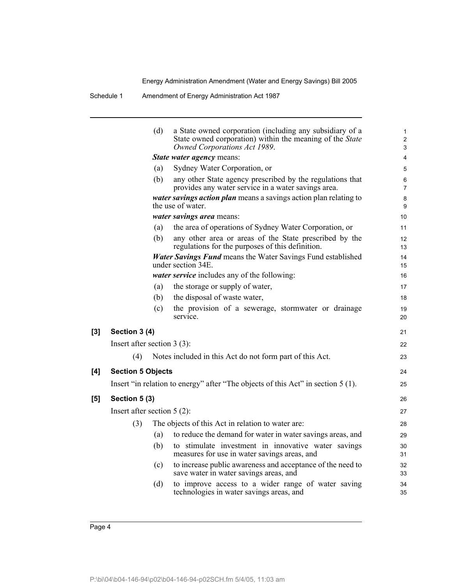### Schedule 1 Amendment of Energy Administration Act 1987

|     |                               | (d) | a State owned corporation (including any subsidiary of a<br>State owned corporation) within the meaning of the State<br>Owned Corporations Act 1989. | $\mathbf{1}$<br>$\overline{\mathbf{c}}$<br>3 |
|-----|-------------------------------|-----|------------------------------------------------------------------------------------------------------------------------------------------------------|----------------------------------------------|
|     |                               |     | State water agency means:                                                                                                                            | 4                                            |
|     |                               | (a) | Sydney Water Corporation, or                                                                                                                         | 5                                            |
|     |                               | (b) | any other State agency prescribed by the regulations that<br>provides any water service in a water savings area.                                     | 6<br>7                                       |
|     |                               |     | <i>water savings action plan</i> means a savings action plan relating to<br>the use of water.                                                        | 8<br>9                                       |
|     |                               |     | water savings area means:                                                                                                                            | 10                                           |
|     |                               | (a) | the area of operations of Sydney Water Corporation, or                                                                                               | 11                                           |
|     |                               | (b) | any other area or areas of the State prescribed by the<br>regulations for the purposes of this definition.                                           | 12<br>13                                     |
|     |                               |     | <b>Water Savings Fund</b> means the Water Savings Fund established<br>under section 34E.                                                             | 14<br>15                                     |
|     |                               |     | <i>water service</i> includes any of the following:                                                                                                  | 16                                           |
|     |                               | (a) | the storage or supply of water,                                                                                                                      | 17                                           |
|     |                               | (b) | the disposal of waste water,                                                                                                                         | 18                                           |
|     |                               | (c) | the provision of a sewerage, stormwater or drainage<br>service.                                                                                      | 19<br>20                                     |
| [3] | Section 3 (4)                 |     |                                                                                                                                                      | 21                                           |
|     | Insert after section $3(3)$ : |     |                                                                                                                                                      | 22                                           |
|     | (4)                           |     | Notes included in this Act do not form part of this Act.                                                                                             | 23                                           |
| [4] | <b>Section 5 Objects</b>      |     |                                                                                                                                                      | 24                                           |
|     |                               |     | Insert "in relation to energy" after "The objects of this Act" in section 5 (1).                                                                     | 25                                           |
| [5] | Section 5 (3)                 |     |                                                                                                                                                      | 26                                           |
|     | Insert after section $5(2)$ : |     |                                                                                                                                                      | 27                                           |
|     | (3)                           |     | The objects of this Act in relation to water are:                                                                                                    | 28                                           |
|     |                               | (a) | to reduce the demand for water in water savings areas, and                                                                                           | 29                                           |
|     |                               | (b) | to stimulate investment in innovative water savings<br>measures for use in water savings areas, and                                                  | 30<br>31                                     |
|     |                               | (c) | to increase public awareness and acceptance of the need to<br>save water in water savings areas, and                                                 | 32<br>33                                     |
|     |                               | (d) | to improve access to a wider range of water saving<br>technologies in water savings areas, and                                                       | 34<br>35                                     |
|     |                               |     |                                                                                                                                                      |                                              |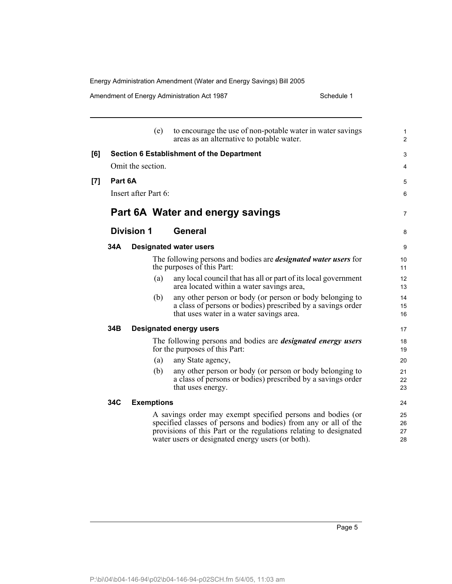| Amendment of Energy Administration Act 1987 | Schedule 1 |
|---------------------------------------------|------------|
|---------------------------------------------|------------|

|     |         |                      | (e) | to encourage the use of non-potable water in water savings<br>areas as an alternative to potable water.                                                                                                                                                  | 1<br>$\overline{c}$  |
|-----|---------|----------------------|-----|----------------------------------------------------------------------------------------------------------------------------------------------------------------------------------------------------------------------------------------------------------|----------------------|
| [6] |         |                      |     | <b>Section 6 Establishment of the Department</b>                                                                                                                                                                                                         | 3                    |
|     |         | Omit the section.    |     |                                                                                                                                                                                                                                                          | 4                    |
| [7] | Part 6A |                      |     |                                                                                                                                                                                                                                                          | 5                    |
|     |         | Insert after Part 6: |     |                                                                                                                                                                                                                                                          | 6                    |
|     |         |                      |     | Part 6A Water and energy savings                                                                                                                                                                                                                         | 7                    |
|     |         | <b>Division 1</b>    |     | <b>General</b>                                                                                                                                                                                                                                           | 8                    |
|     | 34A     |                      |     | <b>Designated water users</b>                                                                                                                                                                                                                            | 9                    |
|     |         |                      |     | The following persons and bodies are <i>designated water users</i> for<br>the purposes of this Part:                                                                                                                                                     | 10<br>11             |
|     |         |                      | (a) | any local council that has all or part of its local government<br>area located within a water savings area,                                                                                                                                              | 12<br>13             |
|     |         |                      | (b) | any other person or body (or person or body belonging to<br>a class of persons or bodies) prescribed by a savings order<br>that uses water in a water savings area.                                                                                      | 14<br>15<br>16       |
|     | 34B     |                      |     | <b>Designated energy users</b>                                                                                                                                                                                                                           | 17                   |
|     |         |                      |     | The following persons and bodies are <i>designated energy users</i><br>for the purposes of this Part:                                                                                                                                                    | 18<br>19             |
|     |         |                      | (a) | any State agency,                                                                                                                                                                                                                                        | 20                   |
|     |         |                      | (b) | any other person or body (or person or body belonging to<br>a class of persons or bodies) prescribed by a savings order<br>that uses energy.                                                                                                             | 21<br>22<br>23       |
|     | 34C     | <b>Exemptions</b>    |     |                                                                                                                                                                                                                                                          | 24                   |
|     |         |                      |     | A savings order may exempt specified persons and bodies (or<br>specified classes of persons and bodies) from any or all of the<br>provisions of this Part or the regulations relating to designated<br>water users or designated energy users (or both). | 25<br>26<br>27<br>28 |
|     |         |                      |     |                                                                                                                                                                                                                                                          |                      |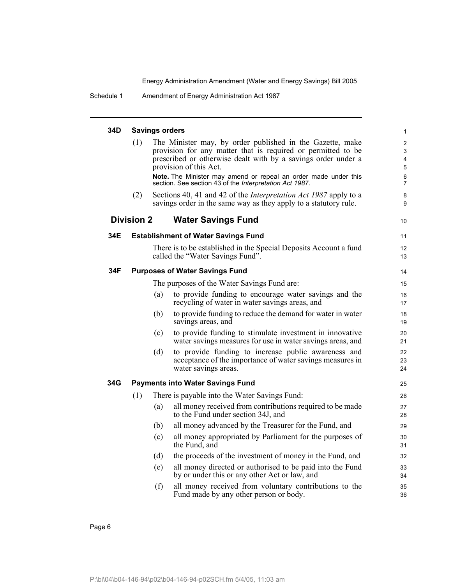Schedule 1 Amendment of Energy Administration Act 1987

### **34D Savings orders**

| 34D | <b>Savings orders</b> |     |                                                                                                                                                                                                                                                                                                                                                                                                                               |                                                           |  |  |  |
|-----|-----------------------|-----|-------------------------------------------------------------------------------------------------------------------------------------------------------------------------------------------------------------------------------------------------------------------------------------------------------------------------------------------------------------------------------------------------------------------------------|-----------------------------------------------------------|--|--|--|
|     | (1)<br>(2)            |     | The Minister may, by order published in the Gazette, make<br>provision for any matter that is required or permitted to be<br>prescribed or otherwise dealt with by a savings order under a<br>provision of this Act.<br>Note. The Minister may amend or repeal an order made under this<br>section. See section 43 of the Interpretation Act 1987.<br>Sections 40, 41 and 42 of the <i>Interpretation Act 1987</i> apply to a | $\overline{2}$<br>3<br>4<br>5<br>6<br>$\overline{7}$<br>8 |  |  |  |
|     |                       |     | savings order in the same way as they apply to a statutory rule.                                                                                                                                                                                                                                                                                                                                                              | 9                                                         |  |  |  |
|     | <b>Division 2</b>     |     | <b>Water Savings Fund</b>                                                                                                                                                                                                                                                                                                                                                                                                     | 10                                                        |  |  |  |
| 34E |                       |     | <b>Establishment of Water Savings Fund</b>                                                                                                                                                                                                                                                                                                                                                                                    | 11                                                        |  |  |  |
|     |                       |     | There is to be established in the Special Deposits Account a fund<br>called the "Water Savings Fund".                                                                                                                                                                                                                                                                                                                         | 12<br>13                                                  |  |  |  |
| 34F |                       |     | <b>Purposes of Water Savings Fund</b>                                                                                                                                                                                                                                                                                                                                                                                         | 14                                                        |  |  |  |
|     |                       |     | The purposes of the Water Savings Fund are:                                                                                                                                                                                                                                                                                                                                                                                   | 15                                                        |  |  |  |
|     |                       | (a) | to provide funding to encourage water savings and the<br>recycling of water in water savings areas, and                                                                                                                                                                                                                                                                                                                       | 16<br>17                                                  |  |  |  |
|     |                       | (b) | to provide funding to reduce the demand for water in water<br>savings areas, and                                                                                                                                                                                                                                                                                                                                              | 18<br>19                                                  |  |  |  |
|     |                       | (c) | to provide funding to stimulate investment in innovative<br>water savings measures for use in water savings areas, and                                                                                                                                                                                                                                                                                                        | 20<br>21                                                  |  |  |  |
|     |                       | (d) | to provide funding to increase public awareness and<br>acceptance of the importance of water savings measures in<br>water savings areas.                                                                                                                                                                                                                                                                                      | 22<br>23<br>24                                            |  |  |  |
| 34G |                       |     | <b>Payments into Water Savings Fund</b>                                                                                                                                                                                                                                                                                                                                                                                       | 25                                                        |  |  |  |
|     | (1)                   |     | There is payable into the Water Savings Fund:                                                                                                                                                                                                                                                                                                                                                                                 | 26                                                        |  |  |  |
|     |                       | (a) | all money received from contributions required to be made<br>to the Fund under section 34J, and                                                                                                                                                                                                                                                                                                                               | 27<br>28                                                  |  |  |  |
|     |                       | (b) | all money advanced by the Treasurer for the Fund, and                                                                                                                                                                                                                                                                                                                                                                         | 29                                                        |  |  |  |
|     |                       | (c) | all money appropriated by Parliament for the purposes of<br>the Fund, and                                                                                                                                                                                                                                                                                                                                                     | 30<br>31                                                  |  |  |  |
|     |                       | (d) | the proceeds of the investment of money in the Fund, and                                                                                                                                                                                                                                                                                                                                                                      | 32                                                        |  |  |  |
|     |                       | (e) | all money directed or authorised to be paid into the Fund<br>by or under this or any other Act or law, and                                                                                                                                                                                                                                                                                                                    | 33<br>34                                                  |  |  |  |
|     |                       | (f) | all money received from voluntary contributions to the<br>Fund made by any other person or body.                                                                                                                                                                                                                                                                                                                              | 35<br>36                                                  |  |  |  |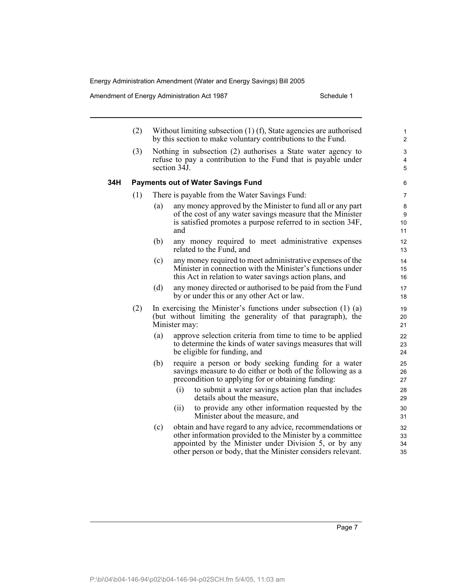Amendment of Energy Administration Act 1987 Material Contract Schedule 1

|     | (2) |     | Without limiting subsection $(1)$ $(f)$ , State agencies are authorised<br>by this section to make voluntary contributions to the Fund.                                                                                                       | 1<br>$\overline{\mathbf{c}}$ |  |  |  |  |
|-----|-----|-----|-----------------------------------------------------------------------------------------------------------------------------------------------------------------------------------------------------------------------------------------------|------------------------------|--|--|--|--|
|     | (3) |     | Nothing in subsection (2) authorises a State water agency to<br>refuse to pay a contribution to the Fund that is payable under<br>section 34J.                                                                                                | 3<br>4<br>5                  |  |  |  |  |
| 34H |     |     | <b>Payments out of Water Savings Fund</b>                                                                                                                                                                                                     | 6                            |  |  |  |  |
|     | (1) |     | There is payable from the Water Savings Fund:                                                                                                                                                                                                 |                              |  |  |  |  |
|     |     | (a) | any money approved by the Minister to fund all or any part<br>of the cost of any water savings measure that the Minister<br>is satisfied promotes a purpose referred to in section 34F,<br>and                                                | 8<br>9<br>10<br>11           |  |  |  |  |
|     |     | (b) | any money required to meet administrative expenses<br>related to the Fund, and                                                                                                                                                                | 12<br>13                     |  |  |  |  |
|     |     | (c) | any money required to meet administrative expenses of the<br>Minister in connection with the Minister's functions under<br>this Act in relation to water savings action plans, and                                                            | 14<br>15<br>16               |  |  |  |  |
|     |     | (d) | any money directed or authorised to be paid from the Fund<br>by or under this or any other Act or law.                                                                                                                                        | 17<br>18                     |  |  |  |  |
|     | (2) |     | In exercising the Minister's functions under subsection $(1)$ $(a)$<br>(but without limiting the generality of that paragraph), the<br>Minister may:                                                                                          | 19<br>20<br>21               |  |  |  |  |
|     |     | (a) | approve selection criteria from time to time to be applied<br>to determine the kinds of water savings measures that will<br>be eligible for funding, and                                                                                      | 22<br>23<br>24               |  |  |  |  |
|     |     | (b) | require a person or body seeking funding for a water<br>savings measure to do either or both of the following as a<br>precondition to applying for or obtaining funding:                                                                      | 25<br>26<br>27               |  |  |  |  |
|     |     |     | to submit a water savings action plan that includes<br>(i)<br>details about the measure,                                                                                                                                                      | 28<br>29                     |  |  |  |  |
|     |     |     | (ii)<br>to provide any other information requested by the<br>Minister about the measure, and                                                                                                                                                  | 30<br>31                     |  |  |  |  |
|     |     | (c) | obtain and have regard to any advice, recommendations or<br>other information provided to the Minister by a committee<br>appointed by the Minister under Division 5, or by any<br>other person or body, that the Minister considers relevant. | 32<br>33<br>34<br>35         |  |  |  |  |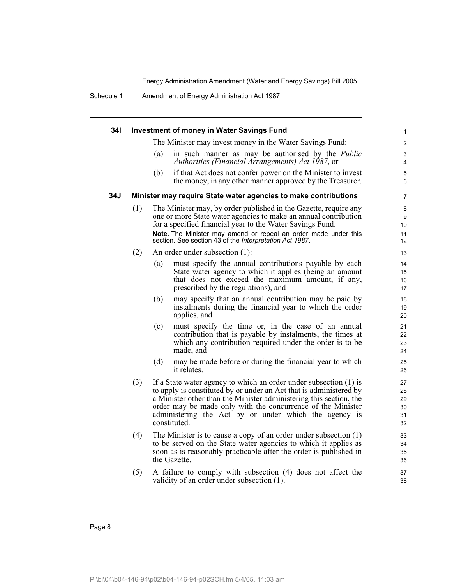Schedule 1 Amendment of Energy Administration Act 1987

| 34I | <b>Investment of money in Water Savings Fund</b> |     |                                                                                                                                                                                                                                                                                                                                                       |                                  |  |
|-----|--------------------------------------------------|-----|-------------------------------------------------------------------------------------------------------------------------------------------------------------------------------------------------------------------------------------------------------------------------------------------------------------------------------------------------------|----------------------------------|--|
|     |                                                  |     | The Minister may invest money in the Water Savings Fund:                                                                                                                                                                                                                                                                                              | $\overline{\mathbf{c}}$          |  |
|     |                                                  | (a) | in such manner as may be authorised by the <i>Public</i><br>Authorities (Financial Arrangements) Act 1987, or                                                                                                                                                                                                                                         | 3<br>4                           |  |
|     |                                                  | (b) | if that Act does not confer power on the Minister to invest<br>the money, in any other manner approved by the Treasurer.                                                                                                                                                                                                                              | 5<br>6                           |  |
| 34J |                                                  |     | Minister may require State water agencies to make contributions                                                                                                                                                                                                                                                                                       | $\overline{7}$                   |  |
|     | (1)                                              |     | The Minister may, by order published in the Gazette, require any<br>one or more State water agencies to make an annual contribution<br>for a specified financial year to the Water Savings Fund.                                                                                                                                                      | 8<br>9<br>10                     |  |
|     |                                                  |     | Note. The Minister may amend or repeal an order made under this<br>section. See section 43 of the Interpretation Act 1987.                                                                                                                                                                                                                            | 11<br>12                         |  |
|     | (2)                                              |     | An order under subsection (1):                                                                                                                                                                                                                                                                                                                        | 13                               |  |
|     |                                                  | (a) | must specify the annual contributions payable by each<br>State water agency to which it applies (being an amount<br>that does not exceed the maximum amount, if any,<br>prescribed by the regulations), and                                                                                                                                           | 14<br>15<br>16<br>17             |  |
|     |                                                  | (b) | may specify that an annual contribution may be paid by<br>instalments during the financial year to which the order<br>applies, and                                                                                                                                                                                                                    | 18<br>19<br>20                   |  |
|     |                                                  | (c) | must specify the time or, in the case of an annual<br>contribution that is payable by instalments, the times at<br>which any contribution required under the order is to be<br>made, and                                                                                                                                                              | 21<br>22<br>23<br>24             |  |
|     |                                                  | (d) | may be made before or during the financial year to which<br>it relates.                                                                                                                                                                                                                                                                               | 25<br>26                         |  |
|     | (3)                                              |     | If a State water agency to which an order under subsection (1) is<br>to apply is constituted by or under an Act that is administered by<br>a Minister other than the Minister administering this section, the<br>order may be made only with the concurrence of the Minister<br>administering the Act by or under which the agency is<br>constituted. | 27<br>28<br>29<br>30<br>31<br>32 |  |
|     | (4)                                              |     | The Minister is to cause a copy of an order under subsection $(1)$<br>to be served on the State water agencies to which it applies as<br>soon as is reasonably practicable after the order is published in<br>the Gazette.                                                                                                                            | 33<br>34<br>35<br>36             |  |
|     | (5)                                              |     | A failure to comply with subsection (4) does not affect the<br>validity of an order under subsection (1).                                                                                                                                                                                                                                             | 37<br>38                         |  |
|     |                                                  |     |                                                                                                                                                                                                                                                                                                                                                       |                                  |  |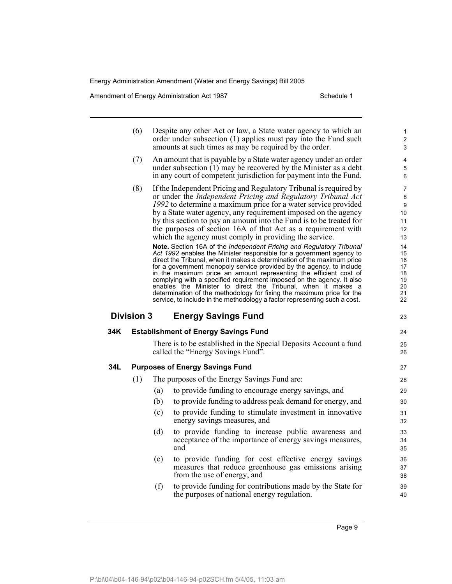Amendment of Energy Administration Act 1987 Material Contract Schedule 1

|     | (6)               |     | Despite any other Act or law, a State water agency to which an<br>order under subsection (1) applies must pay into the Fund such<br>amounts at such times as may be required by the order.                                                                                                                                                                                                                                                                                                                                                                                                                                                                                                                                                                                                                                                      | 1<br>$\overline{c}$<br>3                                          |
|-----|-------------------|-----|-------------------------------------------------------------------------------------------------------------------------------------------------------------------------------------------------------------------------------------------------------------------------------------------------------------------------------------------------------------------------------------------------------------------------------------------------------------------------------------------------------------------------------------------------------------------------------------------------------------------------------------------------------------------------------------------------------------------------------------------------------------------------------------------------------------------------------------------------|-------------------------------------------------------------------|
|     | (7)               |     | An amount that is payable by a State water agency under an order<br>under subsection (1) may be recovered by the Minister as a debt<br>in any court of competent jurisdiction for payment into the Fund.                                                                                                                                                                                                                                                                                                                                                                                                                                                                                                                                                                                                                                        | 4<br>5<br>6                                                       |
|     | (8)               |     | If the Independent Pricing and Regulatory Tribunal is required by<br>or under the Independent Pricing and Regulatory Tribunal Act<br>1992 to determine a maximum price for a water service provided<br>by a State water agency, any requirement imposed on the agency<br>by this section to pay an amount into the Fund is to be treated for<br>the purposes of section 16A of that Act as a requirement with<br>which the agency must comply in providing the service.<br>Note. Section 16A of the Independent Pricing and Regulatory Tribunal<br>Act 1992 enables the Minister responsible for a government agency to<br>direct the Tribunal, when it makes a determination of the maximum price<br>for a government monopoly service provided by the agency, to include<br>in the maximum price an amount representing the efficient cost of | 7<br>8<br>9<br>10<br>11<br>12<br>13<br>14<br>15<br>16<br>17<br>18 |
|     |                   |     | complying with a specified requirement imposed on the agency. It also<br>enables the Minister to direct the Tribunal, when it makes a<br>determination of the methodology for fixing the maximum price for the<br>service, to include in the methodology a factor representing such a cost.                                                                                                                                                                                                                                                                                                                                                                                                                                                                                                                                                     | 19<br>20<br>21<br>22                                              |
|     | <b>Division 3</b> |     | <b>Energy Savings Fund</b>                                                                                                                                                                                                                                                                                                                                                                                                                                                                                                                                                                                                                                                                                                                                                                                                                      | 23                                                                |
| 34K |                   |     | <b>Establishment of Energy Savings Fund</b>                                                                                                                                                                                                                                                                                                                                                                                                                                                                                                                                                                                                                                                                                                                                                                                                     | 24                                                                |
|     |                   |     | There is to be established in the Special Deposits Account a fund<br>called the "Energy Savings Fund".                                                                                                                                                                                                                                                                                                                                                                                                                                                                                                                                                                                                                                                                                                                                          | 25<br>26                                                          |
| 34L |                   |     | <b>Purposes of Energy Savings Fund</b>                                                                                                                                                                                                                                                                                                                                                                                                                                                                                                                                                                                                                                                                                                                                                                                                          | 27                                                                |
|     | (1)               |     | The purposes of the Energy Savings Fund are:                                                                                                                                                                                                                                                                                                                                                                                                                                                                                                                                                                                                                                                                                                                                                                                                    | 28                                                                |
|     |                   | (a) | to provide funding to encourage energy savings, and                                                                                                                                                                                                                                                                                                                                                                                                                                                                                                                                                                                                                                                                                                                                                                                             | 29                                                                |
|     |                   | (b) | to provide funding to address peak demand for energy, and                                                                                                                                                                                                                                                                                                                                                                                                                                                                                                                                                                                                                                                                                                                                                                                       | 30                                                                |
|     |                   | (c) | to provide funding to stimulate investment in innovative<br>energy savings measures, and                                                                                                                                                                                                                                                                                                                                                                                                                                                                                                                                                                                                                                                                                                                                                        | 31<br>32                                                          |
|     |                   | (d) | to provide funding to increase public awareness and<br>acceptance of the importance of energy savings measures,<br>and                                                                                                                                                                                                                                                                                                                                                                                                                                                                                                                                                                                                                                                                                                                          | 33<br>34<br>35                                                    |
|     |                   | (e) | to provide funding for cost effective energy savings                                                                                                                                                                                                                                                                                                                                                                                                                                                                                                                                                                                                                                                                                                                                                                                            | 36                                                                |
|     |                   |     | measures that reduce greenhouse gas emissions arising<br>from the use of energy, and                                                                                                                                                                                                                                                                                                                                                                                                                                                                                                                                                                                                                                                                                                                                                            | 37<br>38                                                          |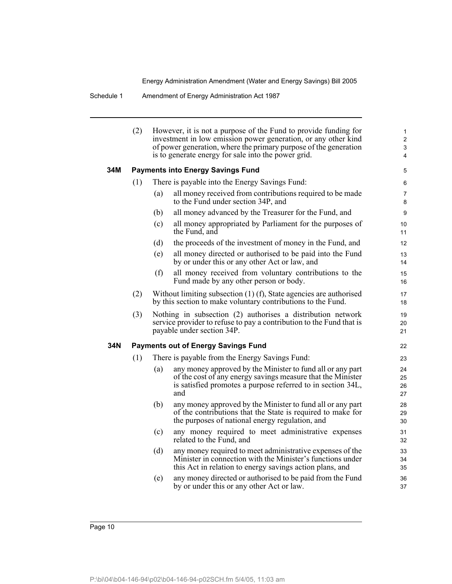Schedule 1 Amendment of Energy Administration Act 1987

|     | (2) | However, it is not a purpose of the Fund to provide funding for<br>investment in low emission power generation, or any other kind<br>of power generation, where the primary purpose of the generation<br>is to generate energy for sale into the power grid. | 1<br>$\overline{2}$<br>3<br>4 |
|-----|-----|--------------------------------------------------------------------------------------------------------------------------------------------------------------------------------------------------------------------------------------------------------------|-------------------------------|
| 34M |     | <b>Payments into Energy Savings Fund</b>                                                                                                                                                                                                                     | 5                             |
|     | (1) | There is payable into the Energy Savings Fund:                                                                                                                                                                                                               | 6                             |
|     |     | all money received from contributions required to be made<br>(a)<br>to the Fund under section 34P, and                                                                                                                                                       | 7<br>8                        |
|     |     | all money advanced by the Treasurer for the Fund, and<br>(b)                                                                                                                                                                                                 | 9                             |
|     |     | (c)<br>all money appropriated by Parliament for the purposes of<br>the Fund, and                                                                                                                                                                             | 10<br>11                      |
|     |     | (d)<br>the proceeds of the investment of money in the Fund, and                                                                                                                                                                                              | 12                            |
|     |     | (e)<br>all money directed or authorised to be paid into the Fund<br>by or under this or any other Act or law, and                                                                                                                                            | 13<br>14                      |
|     |     | (f)<br>all money received from voluntary contributions to the<br>Fund made by any other person or body.                                                                                                                                                      | 15<br>16                      |
|     | (2) | Without limiting subsection $(1)$ (f), State agencies are authorised<br>by this section to make voluntary contributions to the Fund.                                                                                                                         | 17<br>18                      |
|     | (3) | Nothing in subsection (2) authorises a distribution network<br>service provider to refuse to pay a contribution to the Fund that is<br>payable under section 34P.                                                                                            | 19<br>20<br>21                |
| 34N |     | <b>Payments out of Energy Savings Fund</b>                                                                                                                                                                                                                   | 22                            |
|     | (1) | There is payable from the Energy Savings Fund:                                                                                                                                                                                                               | 23                            |
|     |     | any money approved by the Minister to fund all or any part<br>(a)<br>of the cost of any energy savings measure that the Minister<br>is satisfied promotes a purpose referred to in section 34L,<br>and                                                       | 24<br>25<br>26<br>27          |
|     |     | any money approved by the Minister to fund all or any part<br>(b)<br>of the contributions that the State is required to make for<br>the purposes of national energy regulation, and                                                                          | 28<br>29<br>30                |
|     |     | (c)<br>any money required to meet administrative expenses<br>related to the Fund, and                                                                                                                                                                        | 31<br>32                      |
|     |     | any money required to meet administrative expenses of the<br>(d)<br>Minister in connection with the Minister's functions under<br>this Act in relation to energy savings action plans, and                                                                   | 33<br>34<br>35                |
|     |     | any money directed or authorised to be paid from the Fund<br>(e)<br>by or under this or any other Act or law.                                                                                                                                                | 36<br>37                      |
|     |     |                                                                                                                                                                                                                                                              |                               |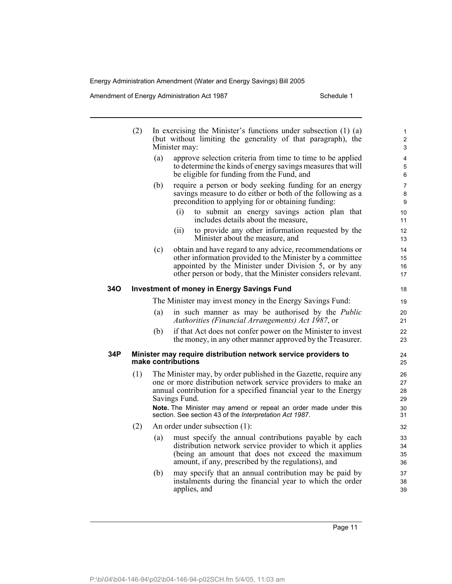Amendment of Energy Administration Act 1987 Material Contract Schedule 1

|     | (2)                                               |     | In exercising the Minister's functions under subsection $(1)$ $(a)$<br>(but without limiting the generality of that paragraph), the<br>Minister may:                                                                                                                                                                                                 | 1<br>2<br>3                      |  |  |
|-----|---------------------------------------------------|-----|------------------------------------------------------------------------------------------------------------------------------------------------------------------------------------------------------------------------------------------------------------------------------------------------------------------------------------------------------|----------------------------------|--|--|
|     |                                                   | (a) | approve selection criteria from time to time to be applied<br>to determine the kinds of energy savings measures that will<br>be eligible for funding from the Fund, and                                                                                                                                                                              | 4<br>5<br>6                      |  |  |
|     |                                                   | (b) | require a person or body seeking funding for an energy<br>savings measure to do either or both of the following as a<br>precondition to applying for or obtaining funding:                                                                                                                                                                           | 7<br>8<br>9                      |  |  |
|     |                                                   |     | to submit an energy savings action plan that<br>(i)<br>includes details about the measure,                                                                                                                                                                                                                                                           | 10<br>11                         |  |  |
|     |                                                   |     | to provide any other information requested by the<br>(i)<br>Minister about the measure, and                                                                                                                                                                                                                                                          | 12<br>13                         |  |  |
|     |                                                   | (c) | obtain and have regard to any advice, recommendations or<br>other information provided to the Minister by a committee<br>appointed by the Minister under Division 5, or by any<br>other person or body, that the Minister considers relevant.                                                                                                        | 14<br>15<br>16<br>17             |  |  |
| 34O | <b>Investment of money in Energy Savings Fund</b> |     |                                                                                                                                                                                                                                                                                                                                                      |                                  |  |  |
|     |                                                   |     | The Minister may invest money in the Energy Savings Fund:                                                                                                                                                                                                                                                                                            | 19                               |  |  |
|     |                                                   | (a) | in such manner as may be authorised by the Public<br>Authorities (Financial Arrangements) Act 1987, or                                                                                                                                                                                                                                               | 20<br>21                         |  |  |
|     |                                                   | (b) | if that Act does not confer power on the Minister to invest<br>the money, in any other manner approved by the Treasurer.                                                                                                                                                                                                                             | 22<br>23                         |  |  |
| 34P |                                                   |     | Minister may require distribution network service providers to<br>make contributions                                                                                                                                                                                                                                                                 | 24<br>25                         |  |  |
|     | (1)                                               |     | The Minister may, by order published in the Gazette, require any<br>one or more distribution network service providers to make an<br>annual contribution for a specified financial year to the Energy<br>Savings Fund.<br>Note. The Minister may amend or repeal an order made under this<br>section. See section 43 of the Interpretation Act 1987. | 26<br>27<br>28<br>29<br>30<br>31 |  |  |
|     | (2)                                               |     | An order under subsection (1):                                                                                                                                                                                                                                                                                                                       | 32                               |  |  |
|     |                                                   | (a) | must specify the annual contributions payable by each<br>distribution network service provider to which it applies<br>(being an amount that does not exceed the maximum<br>amount, if any, prescribed by the regulations), and                                                                                                                       | 33<br>34<br>35<br>36             |  |  |
|     |                                                   | (b) | may specify that an annual contribution may be paid by<br>instalments during the financial year to which the order<br>applies, and                                                                                                                                                                                                                   | 37<br>38<br>39                   |  |  |
|     |                                                   |     |                                                                                                                                                                                                                                                                                                                                                      |                                  |  |  |

Page 11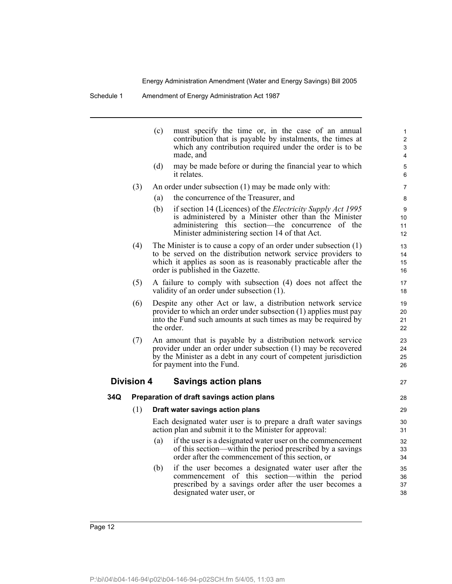### Schedule 1 Amendment of Energy Administration Act 1987

|     |                   | (c)<br>must specify the time or, in the case of an annual<br>contribution that is payable by instalments, the times at<br>which any contribution required under the order is to be<br>made, and                                              | $\mathbf{1}$<br>$\overline{c}$<br>3<br>4 |
|-----|-------------------|----------------------------------------------------------------------------------------------------------------------------------------------------------------------------------------------------------------------------------------------|------------------------------------------|
|     |                   | may be made before or during the financial year to which<br>(d)<br>it relates.                                                                                                                                                               | 5<br>6                                   |
|     | (3)               | An order under subsection (1) may be made only with:                                                                                                                                                                                         | 7                                        |
|     |                   | the concurrence of the Treasurer, and<br>(a)                                                                                                                                                                                                 | 8                                        |
|     |                   | (b)<br>if section 14 (Licences) of the <i>Electricity Supply Act 1995</i><br>is administered by a Minister other than the Minister<br>administering this section—the concurrence of the<br>Minister administering section 14 of that Act.    | 9<br>10<br>11<br>12                      |
|     | (4)               | The Minister is to cause a copy of an order under subsection $(1)$<br>to be served on the distribution network service providers to<br>which it applies as soon as is reasonably practicable after the<br>order is published in the Gazette. | 13<br>14<br>15<br>16                     |
|     | (5)               | A failure to comply with subsection (4) does not affect the<br>validity of an order under subsection (1).                                                                                                                                    | 17<br>18                                 |
|     | (6)               | Despite any other Act or law, a distribution network service<br>provider to which an order under subsection (1) applies must pay<br>into the Fund such amounts at such times as may be required by<br>the order.                             | 19<br>20<br>21<br>22                     |
|     | (7)               | An amount that is payable by a distribution network service<br>provider under an order under subsection (1) may be recovered<br>by the Minister as a debt in any court of competent jurisdiction<br>for payment into the Fund.               | 23<br>24<br>25<br>26                     |
|     | <b>Division 4</b> | <b>Savings action plans</b>                                                                                                                                                                                                                  | 27                                       |
| 34Q |                   | Preparation of draft savings action plans                                                                                                                                                                                                    | 28                                       |
|     | (1)               | Draft water savings action plans                                                                                                                                                                                                             | 29                                       |
|     |                   | Each designated water user is to prepare a draft water savings<br>action plan and submit it to the Minister for approval:                                                                                                                    | 30<br>31                                 |
|     |                   | if the user is a designated water user on the commencement<br>(a)<br>of this section—within the period prescribed by a savings<br>order after the commencement of this section, or                                                           | 32<br>33<br>34                           |
|     |                   | if the user becomes a designated water user after the<br>(b)<br>commencement of this section—within the period<br>prescribed by a savings order after the user becomes a<br>designated water user, or                                        | 35<br>36<br>37<br>38                     |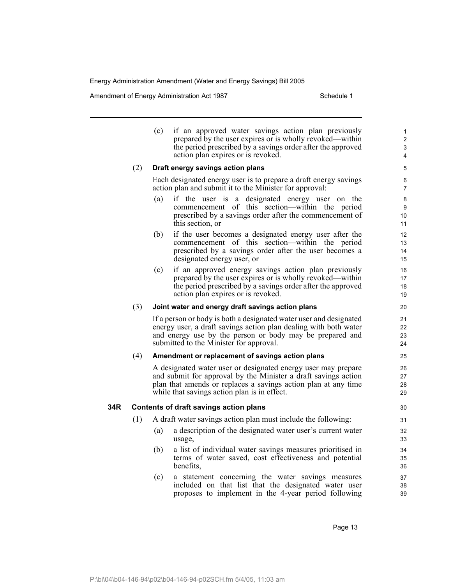Amendment of Energy Administration Act 1987 Material Contract Schedule 1

|     |     | if an approved water savings action plan previously<br>(c)<br>prepared by the user expires or is wholly revoked—within<br>the period prescribed by a savings order after the approved<br>action plan expires or is revoked.                       | 1<br>$\overline{2}$<br>3<br>4 |
|-----|-----|---------------------------------------------------------------------------------------------------------------------------------------------------------------------------------------------------------------------------------------------------|-------------------------------|
|     | (2) | Draft energy savings action plans                                                                                                                                                                                                                 | 5                             |
|     |     | Each designated energy user is to prepare a draft energy savings<br>action plan and submit it to the Minister for approval:                                                                                                                       | 6<br>$\overline{7}$           |
|     |     | (a)<br>if the user is a designated energy user on the<br>commencement of this section—within the period<br>prescribed by a savings order after the commencement of<br>this section, or                                                            | 8<br>9<br>10<br>11            |
|     |     | (b)<br>if the user becomes a designated energy user after the<br>commencement of this section—within the period<br>prescribed by a savings order after the user becomes a<br>designated energy user, or                                           | 12<br>13<br>14<br>15          |
|     |     | if an approved energy savings action plan previously<br>(c)<br>prepared by the user expires or is wholly revoked—within<br>the period prescribed by a savings order after the approved<br>action plan expires or is revoked.                      | 16<br>17<br>18<br>19          |
|     | (3) | Joint water and energy draft savings action plans                                                                                                                                                                                                 | 20                            |
|     |     | If a person or body is both a designated water user and designated<br>energy user, a draft savings action plan dealing with both water<br>and energy use by the person or body may be prepared and<br>submitted to the Minister for approval.     | 21<br>22<br>23<br>24          |
|     | (4) | Amendment or replacement of savings action plans                                                                                                                                                                                                  | 25                            |
|     |     | A designated water user or designated energy user may prepare<br>and submit for approval by the Minister a draft savings action<br>plan that amends or replaces a savings action plan at any time<br>while that savings action plan is in effect. | 26<br>27<br>28<br>29          |
| 34R |     | Contents of draft savings action plans                                                                                                                                                                                                            | 30                            |
|     | (1) | A draft water savings action plan must include the following:                                                                                                                                                                                     | 31                            |
|     |     | a description of the designated water user's current water<br>(a)<br>usage,                                                                                                                                                                       | 32<br>33                      |
|     |     | a list of individual water savings measures prioritised in<br>(b)<br>terms of water saved, cost effectiveness and potential<br>benefits.                                                                                                          | 34<br>35<br>36                |
|     |     | a statement concerning the water savings measures<br>(c)<br>included on that list that the designated water user<br>proposes to implement in the 4-year period following                                                                          | 37<br>38<br>39                |
|     |     |                                                                                                                                                                                                                                                   |                               |

Page 13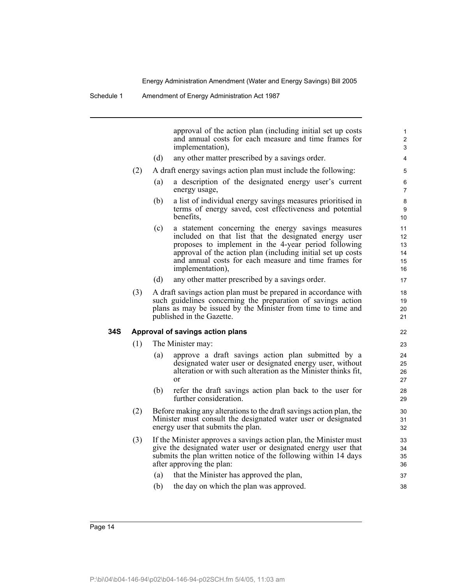Schedule 1 Amendment of Energy Administration Act 1987

approval of the action plan (including initial set up costs and annual costs for each measure and time frames for implementation), (d) any other matter prescribed by a savings order. (2) A draft energy savings action plan must include the following: (a) a description of the designated energy user's current energy usage, (b) a list of individual energy savings measures prioritised in terms of energy saved, cost effectiveness and potential benefits, (c) a statement concerning the energy savings measures included on that list that the designated energy user proposes to implement in the 4-year period following approval of the action plan (including initial set up costs and annual costs for each measure and time frames for implementation), (d) any other matter prescribed by a savings order. (3) A draft savings action plan must be prepared in accordance with such guidelines concerning the preparation of savings action plans as may be issued by the Minister from time to time and published in the Gazette. **34S Approval of savings action plans** (1) The Minister may: (a) approve a draft savings action plan submitted by a designated water user or designated energy user, without alteration or with such alteration as the Minister thinks fit, or (b) refer the draft savings action plan back to the user for further consideration. (2) Before making any alterations to the draft savings action plan, the Minister must consult the designated water user or designated energy user that submits the plan. (3) If the Minister approves a savings action plan, the Minister must give the designated water user or designated energy user that submits the plan written notice of the following within 14 days after approving the plan: (a) that the Minister has approved the plan, (b) the day on which the plan was approved. 1  $\mathfrak{p}$ 3 4 5 6 7 8 9 10 11 12 13 14 15 16 17 18 19 20 21 22 23 24 25 26 27 28 29 30 31 32 33 34 35 36 37 38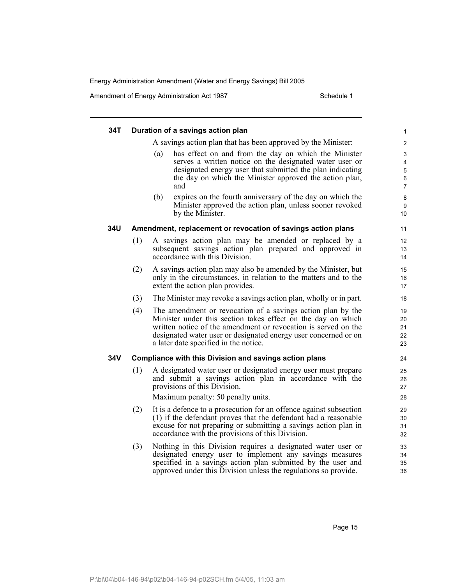Amendment of Energy Administration Act 1987 **Schedule 1** Schedule 1

#### **34T Duration of a savings action plan** A savings action plan that has been approved by the Minister: (a) has effect on and from the day on which the Minister serves a written notice on the designated water user or designated energy user that submitted the plan indicating the day on which the Minister approved the action plan, and (b) expires on the fourth anniversary of the day on which the Minister approved the action plan, unless sooner revoked by the Minister. **34U Amendment, replacement or revocation of savings action plans** (1) A savings action plan may be amended or replaced by a subsequent savings action plan prepared and approved in accordance with this Division. (2) A savings action plan may also be amended by the Minister, but only in the circumstances, in relation to the matters and to the extent the action plan provides. (3) The Minister may revoke a savings action plan, wholly or in part. (4) The amendment or revocation of a savings action plan by the Minister under this section takes effect on the day on which written notice of the amendment or revocation is served on the designated water user or designated energy user concerned or on a later date specified in the notice. **34V Compliance with this Division and savings action plans** (1) A designated water user or designated energy user must prepare and submit a savings action plan in accordance with the provisions of this Division. Maximum penalty: 50 penalty units. (2) It is a defence to a prosecution for an offence against subsection (1) if the defendant proves that the defendant had a reasonable excuse for not preparing or submitting a savings action plan in accordance with the provisions of this Division. (3) Nothing in this Division requires a designated water user or designated energy user to implement any savings measures specified in a savings action plan submitted by the user and approved under this Division unless the regulations so provide. 1 2 3 4 5 6 7 8 9 10 11 12 13 14 15 16 17 18 19 20 21 22 23 24 25 26 27 28 29 30 31 32 33 34 35 36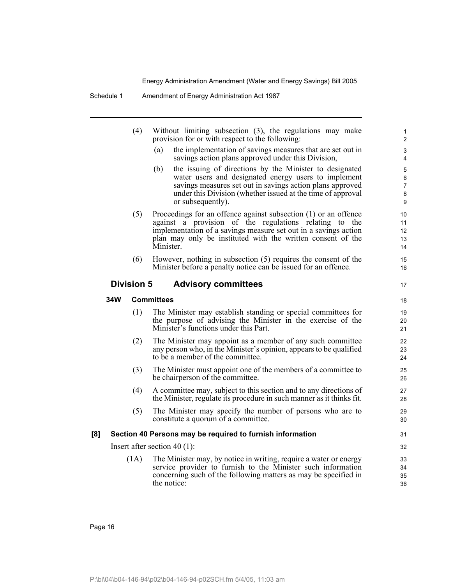#### Schedule 1 Amendment of Energy Administration Act 1987

- (4) Without limiting subsection (3), the regulations may make provision for or with respect to the following:
	- (a) the implementation of savings measures that are set out in savings action plans approved under this Division,

- (b) the issuing of directions by the Minister to designated water users and designated energy users to implement savings measures set out in savings action plans approved under this Division (whether issued at the time of approval or subsequently).
- (5) Proceedings for an offence against subsection (1) or an offence against a provision of the regulations relating to the implementation of a savings measure set out in a savings action plan may only be instituted with the written consent of the Minister.
- (6) However, nothing in subsection (5) requires the consent of the Minister before a penalty notice can be issued for an offence.

### **Division 5 Advisory committees**

**34W Committees**

- (1) The Minister may establish standing or special committees for the purpose of advising the Minister in the exercise of the Minister's functions under this Part.
- (2) The Minister may appoint as a member of any such committee any person who, in the Minister's opinion, appears to be qualified to be a member of the committee.
- (3) The Minister must appoint one of the members of a committee to be chairperson of the committee.
- (4) A committee may, subject to this section and to any directions of the Minister, regulate its procedure in such manner as it thinks fit.
- (5) The Minister may specify the number of persons who are to constitute a quorum of a committee.

#### **[8] Section 40 Persons may be required to furnish information**

Insert after section 40 (1):

(1A) The Minister may, by notice in writing, require a water or energy service provider to furnish to the Minister such information concerning such of the following matters as may be specified in the notice: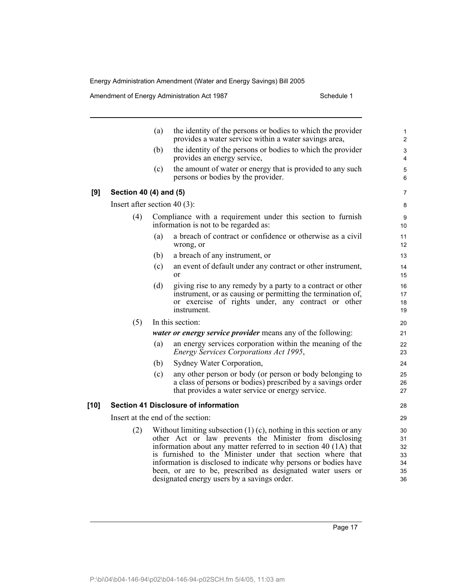Amendment of Energy Administration Act 1987 Material Contract Schedule 1

|        |                                 | (a) | the identity of the persons or bodies to which the provider<br>provides a water service within a water savings area,                                                                                                                                                                                                                                                                                | 1<br>$\overline{c}$              |
|--------|---------------------------------|-----|-----------------------------------------------------------------------------------------------------------------------------------------------------------------------------------------------------------------------------------------------------------------------------------------------------------------------------------------------------------------------------------------------------|----------------------------------|
|        |                                 | (b) | the identity of the persons or bodies to which the provider<br>provides an energy service,                                                                                                                                                                                                                                                                                                          | 3<br>4                           |
|        |                                 | (c) | the amount of water or energy that is provided to any such<br>persons or bodies by the provider.                                                                                                                                                                                                                                                                                                    | 5<br>6                           |
| [9]    | Section 40 (4) and (5)          |     |                                                                                                                                                                                                                                                                                                                                                                                                     | 7                                |
|        | Insert after section 40 $(3)$ : |     |                                                                                                                                                                                                                                                                                                                                                                                                     | 8                                |
|        | (4)                             |     | Compliance with a requirement under this section to furnish<br>information is not to be regarded as:                                                                                                                                                                                                                                                                                                | 9<br>10                          |
|        |                                 | (a) | a breach of contract or confidence or otherwise as a civil<br>wrong, or                                                                                                                                                                                                                                                                                                                             | 11<br>12                         |
|        |                                 | (b) | a breach of any instrument, or                                                                                                                                                                                                                                                                                                                                                                      | 13                               |
|        |                                 | (c) | an event of default under any contract or other instrument,<br>$\alpha$ r                                                                                                                                                                                                                                                                                                                           | 14<br>15                         |
|        |                                 | (d) | giving rise to any remedy by a party to a contract or other<br>instrument, or as causing or permitting the termination of,<br>or exercise of rights under, any contract or other<br>instrument.                                                                                                                                                                                                     | 16<br>17<br>18<br>19             |
|        | (5)                             |     | In this section:                                                                                                                                                                                                                                                                                                                                                                                    | 20                               |
|        |                                 |     | <i>water or energy service provider</i> means any of the following:                                                                                                                                                                                                                                                                                                                                 | 21                               |
|        |                                 | (a) | an energy services corporation within the meaning of the<br><b>Energy Services Corporations Act 1995,</b>                                                                                                                                                                                                                                                                                           | 22<br>23                         |
|        |                                 | (b) | Sydney Water Corporation,                                                                                                                                                                                                                                                                                                                                                                           | 24                               |
|        |                                 | (c) | any other person or body (or person or body belonging to<br>a class of persons or bodies) prescribed by a savings order<br>that provides a water service or energy service.                                                                                                                                                                                                                         | 25<br>26<br>27                   |
| $[10]$ |                                 |     | <b>Section 41 Disclosure of information</b>                                                                                                                                                                                                                                                                                                                                                         | 28                               |
|        |                                 |     | Insert at the end of the section:                                                                                                                                                                                                                                                                                                                                                                   | 29                               |
|        | (2)                             |     | Without limiting subsection $(1)$ (c), nothing in this section or any<br>other Act or law prevents the Minister from disclosing<br>information about any matter referred to in section 40 (1A) that<br>is furnished to the Minister under that section where that<br>information is disclosed to indicate why persons or bodies have<br>been, or are to be, prescribed as designated water users or | 30<br>31<br>32<br>33<br>34<br>35 |

36

designated energy users by a savings order.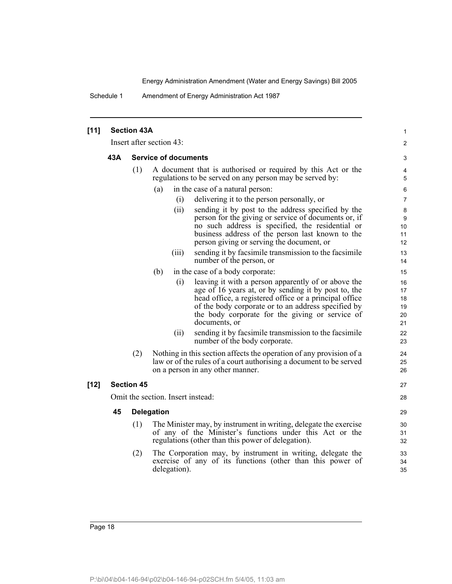Schedule 1 Amendment of Energy Administration Act 1987

| $[11]$ |     | <b>Section 43A</b> |                                                                                                                                                                                                                                     | 1                    |
|--------|-----|--------------------|-------------------------------------------------------------------------------------------------------------------------------------------------------------------------------------------------------------------------------------|----------------------|
|        |     |                    | Insert after section 43:                                                                                                                                                                                                            | 2                    |
|        | 43A |                    | <b>Service of documents</b>                                                                                                                                                                                                         | 3                    |
|        |     | (1)                | A document that is authorised or required by this Act or the<br>regulations to be served on any person may be served by:                                                                                                            | 4<br>5               |
|        |     |                    | (a)<br>in the case of a natural person:                                                                                                                                                                                             | 6                    |
|        |     |                    | delivering it to the person personally, or<br>(i)                                                                                                                                                                                   | $\overline{7}$       |
|        |     |                    | (ii)<br>sending it by post to the address specified by the<br>person for the giving or service of documents or, if                                                                                                                  | 8<br>9               |
|        |     |                    | no such address is specified, the residential or<br>business address of the person last known to the<br>person giving or serving the document, or                                                                                   | 10<br>11<br>12       |
|        |     |                    | (iii)<br>sending it by facsimile transmission to the facsimile<br>number of the person, or                                                                                                                                          | 13<br>14             |
|        |     |                    | in the case of a body corporate:<br>(b)                                                                                                                                                                                             | 15                   |
|        |     |                    | leaving it with a person apparently of or above the<br>(i)<br>age of 16 years at, or by sending it by post to, the<br>head office, a registered office or a principal office<br>of the body corporate or to an address specified by | 16<br>17<br>18<br>19 |
|        |     |                    | the body corporate for the giving or service of<br>documents, or                                                                                                                                                                    | 20<br>21             |
|        |     |                    | (ii)<br>sending it by facsimile transmission to the facsimile<br>number of the body corporate.                                                                                                                                      | 22<br>23             |
|        |     | (2)                | Nothing in this section affects the operation of any provision of a<br>law or of the rules of a court authorising a document to be served<br>on a person in any other manner.                                                       | 24<br>25<br>26       |
| $[12]$ |     | <b>Section 45</b>  |                                                                                                                                                                                                                                     | 27                   |
|        |     |                    | Omit the section. Insert instead:                                                                                                                                                                                                   | 28                   |
|        | 45  |                    | <b>Delegation</b>                                                                                                                                                                                                                   | 29                   |
|        |     | (1)                | The Minister may, by instrument in writing, delegate the exercise<br>of any of the Minister's functions under this Act or the<br>regulations (other than this power of delegation).                                                 | 30<br>31<br>32       |
|        |     | (2)                | The Corporation may, by instrument in writing, delegate the<br>exercise of any of its functions (other than this power of<br>delegation).                                                                                           | 33<br>34<br>35       |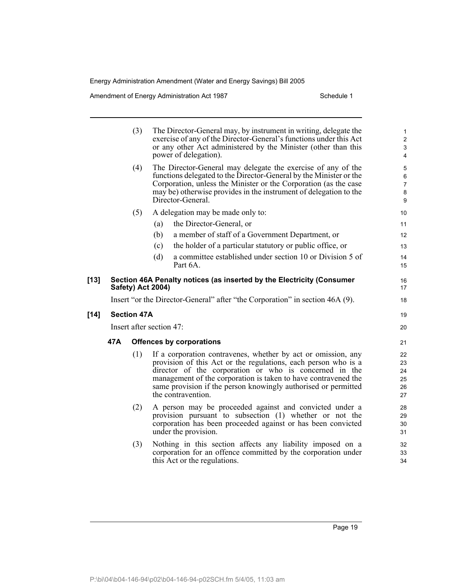Amendment of Energy Administration Act 1987 Material Contract Schedule 1

 $[14]$ 

|        |     | (3)                | The Director-General may, by instrument in writing, delegate the<br>exercise of any of the Director-General's functions under this Act<br>or any other Act administered by the Minister (other than this<br>power of delegation).                                                                                                                   | $\mathbf{1}$<br>$\overline{c}$<br>$\mathsf 3$<br>4 |
|--------|-----|--------------------|-----------------------------------------------------------------------------------------------------------------------------------------------------------------------------------------------------------------------------------------------------------------------------------------------------------------------------------------------------|----------------------------------------------------|
|        |     | (4)                | The Director-General may delegate the exercise of any of the<br>functions delegated to the Director-General by the Minister or the<br>Corporation, unless the Minister or the Corporation (as the case<br>may be) otherwise provides in the instrument of delegation to the<br>Director-General.                                                    | 5<br>$\,6$<br>$\overline{7}$<br>8<br>9             |
|        |     | (5)                | A delegation may be made only to:                                                                                                                                                                                                                                                                                                                   | 10                                                 |
|        |     |                    | the Director-General, or<br>(a)                                                                                                                                                                                                                                                                                                                     | 11                                                 |
|        |     |                    | a member of staff of a Government Department, or<br>(b)                                                                                                                                                                                                                                                                                             | 12                                                 |
|        |     |                    | the holder of a particular statutory or public office, or<br>(c)                                                                                                                                                                                                                                                                                    | 13                                                 |
|        |     |                    | a committee established under section 10 or Division 5 of<br>(d)<br>Part 6A.                                                                                                                                                                                                                                                                        | 14<br>15                                           |
| $[13]$ |     |                    | Section 46A Penalty notices (as inserted by the Electricity (Consumer<br>Safety) Act 2004)                                                                                                                                                                                                                                                          | 16<br>17                                           |
|        |     |                    | Insert "or the Director-General" after "the Corporation" in section 46A (9).                                                                                                                                                                                                                                                                        | 18                                                 |
| [14]   |     | <b>Section 47A</b> |                                                                                                                                                                                                                                                                                                                                                     | 19                                                 |
|        |     |                    | Insert after section 47:                                                                                                                                                                                                                                                                                                                            | 20                                                 |
|        | 47A |                    | <b>Offences by corporations</b>                                                                                                                                                                                                                                                                                                                     | 21                                                 |
|        |     | (1)                | If a corporation contravenes, whether by act or omission, any<br>provision of this Act or the regulations, each person who is a<br>director of the corporation or who is concerned in the<br>management of the corporation is taken to have contravened the<br>same provision if the person knowingly authorised or permitted<br>the contravention. | 22<br>23<br>24<br>25<br>26<br>27                   |
|        |     | (2)                | A person may be proceeded against and convicted under a<br>provision pursuant to subsection (1) whether or not the<br>corporation has been proceeded against or has been convicted<br>under the provision.                                                                                                                                          | 28<br>29<br>30<br>31                               |
|        |     | (3)                | Nothing in this section affects any liability imposed on a<br>corporation for an offence committed by the corporation under<br>this Act or the regulations.                                                                                                                                                                                         | 32<br>33<br>34                                     |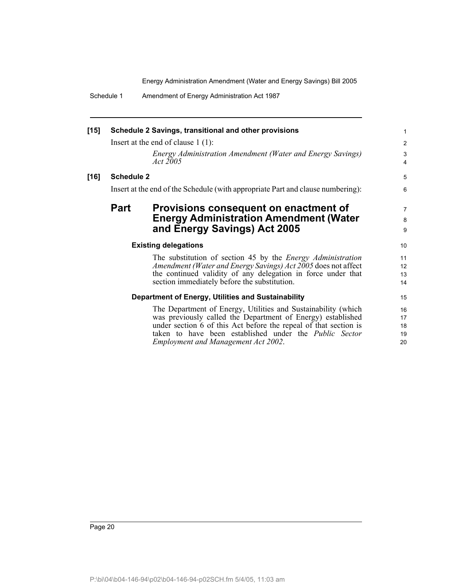Schedule 1 Amendment of Energy Administration Act 1987

| $[15]$ |                   | Schedule 2 Savings, transitional and other provisions                           | $\mathbf{1}$        |
|--------|-------------------|---------------------------------------------------------------------------------|---------------------|
|        |                   | Insert at the end of clause $1(1)$ :                                            | 2                   |
|        |                   | Energy Administration Amendment (Water and Energy Savings)<br>Act 2005          | 3<br>$\overline{4}$ |
| $[16]$ | <b>Schedule 2</b> |                                                                                 | 5                   |
|        |                   | Insert at the end of the Schedule (with appropriate Part and clause numbering): | 6                   |
|        | <b>Part</b>       | Provisions consequent on enactment of                                           | $\overline{7}$      |
|        |                   | <b>Energy Administration Amendment (Water</b>                                   | 8                   |
|        |                   | and Energy Savings) Act 2005                                                    | 9                   |
|        |                   | <b>Existing delegations</b>                                                     | 10                  |
|        |                   | The substitution of section 45 by the <i>Energy Administration</i>              | 11                  |
|        |                   | Amendment (Water and Energy Savings) Act 2005 does not affect                   | 12                  |
|        |                   | the continued validity of any delegation in force under that                    | 13                  |
|        |                   | section immediately before the substitution.                                    | 14                  |
|        |                   | Department of Energy, Utilities and Sustainability                              | 15                  |
|        |                   | The Department of Energy, Utilities and Sustainability (which                   | 16                  |
|        |                   | was previously called the Department of Energy) established                     | 17                  |
|        |                   | under section 6 of this Act before the repeal of that section is                | 18                  |
|        |                   | taken to have been established under the Public Sector                          | 19                  |
|        |                   | <b>Employment and Management Act 2002.</b>                                      | 20                  |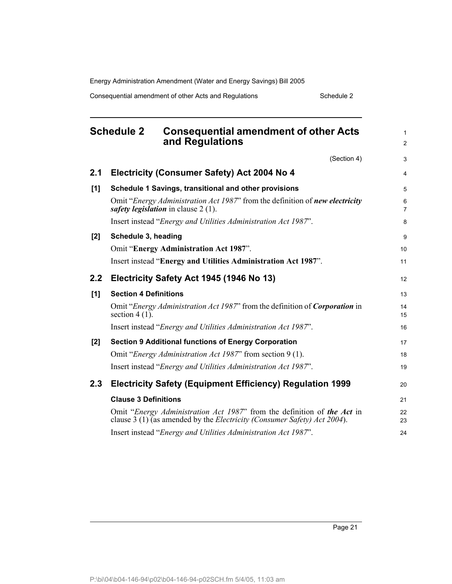Consequential amendment of other Acts and Regulations Schedule 2

|     | <b>Schedule 2</b><br><b>Consequential amendment of other Acts</b><br>and Regulations                                                                        | $\mathbf{1}$<br>$\overline{c}$ |
|-----|-------------------------------------------------------------------------------------------------------------------------------------------------------------|--------------------------------|
|     | (Section 4)                                                                                                                                                 | 3                              |
| 2.1 | Electricity (Consumer Safety) Act 2004 No 4                                                                                                                 | $\overline{4}$                 |
| [1] | Schedule 1 Savings, transitional and other provisions                                                                                                       | 5                              |
|     | Omit "Energy Administration Act 1987" from the definition of new electricity<br>safety <i>legislation</i> in clause $2(1)$ .                                | $\,6\,$<br>$\overline{7}$      |
|     | Insert instead "Energy and Utilities Administration Act 1987".                                                                                              | 8                              |
| [2] | Schedule 3, heading                                                                                                                                         | 9                              |
|     | Omit "Energy Administration Act 1987".                                                                                                                      | 10                             |
|     | Insert instead "Energy and Utilities Administration Act 1987".                                                                                              | 11                             |
| 2.2 | Electricity Safety Act 1945 (1946 No 13)                                                                                                                    | 12                             |
| [1] | <b>Section 4 Definitions</b>                                                                                                                                | 13                             |
|     | Omit "Energy Administration Act 1987" from the definition of Corporation in<br>section 4 $(1)$ .                                                            | 14<br>15                       |
|     | Insert instead "Energy and Utilities Administration Act 1987".                                                                                              | 16                             |
| [2] | <b>Section 9 Additional functions of Energy Corporation</b>                                                                                                 | 17                             |
|     | Omit "Energy Administration Act 1987" from section 9 (1).                                                                                                   | 18                             |
|     | Insert instead "Energy and Utilities Administration Act 1987".                                                                                              | 19                             |
| 2.3 | <b>Electricity Safety (Equipment Efficiency) Regulation 1999</b>                                                                                            | 20                             |
|     | <b>Clause 3 Definitions</b>                                                                                                                                 | 21                             |
|     | Omit "Energy Administration Act 1987" from the definition of the Act in<br>clause 3 (1) (as amended by the <i>Electricity (Consumer Safety) Act 2004</i> ). | 22<br>23                       |
|     | Insert instead "Energy and Utilities Administration Act 1987".                                                                                              | 24                             |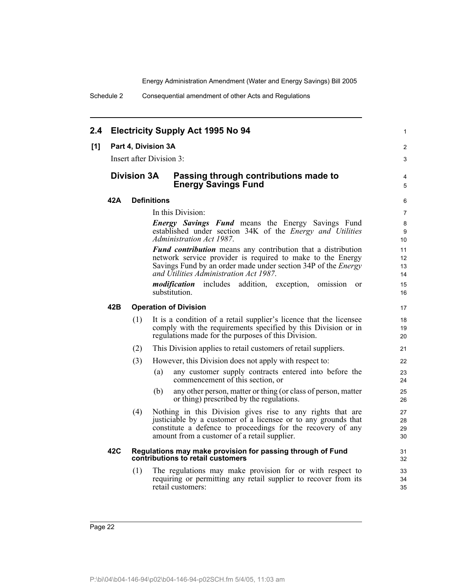| 2.4 |     |                          | <b>Electricity Supply Act 1995 No 94</b>                                                                                                                                                                                                            | 1                                 |
|-----|-----|--------------------------|-----------------------------------------------------------------------------------------------------------------------------------------------------------------------------------------------------------------------------------------------------|-----------------------------------|
| [1] |     | Part 4, Division 3A      |                                                                                                                                                                                                                                                     | 2                                 |
|     |     | Insert after Division 3: |                                                                                                                                                                                                                                                     | 3                                 |
|     |     | <b>Division 3A</b>       | Passing through contributions made to<br><b>Energy Savings Fund</b>                                                                                                                                                                                 | 4<br>5                            |
|     | 42A | <b>Definitions</b>       |                                                                                                                                                                                                                                                     | 6                                 |
|     |     |                          | In this Division:                                                                                                                                                                                                                                   | $\overline{7}$                    |
|     |     |                          | <b>Energy Savings Fund</b> means the Energy Savings Fund<br>established under section 34K of the <i>Energy and Utilities</i><br><i>Administration Act 1987.</i>                                                                                     | 8<br>9<br>10 <sup>1</sup>         |
|     |     |                          | <b>Fund contribution</b> means any contribution that a distribution<br>network service provider is required to make to the Energy<br>Savings Fund by an order made under section 34P of the <i>Energy</i><br>and Utilities Administration Act 1987. | 11<br>12 <sup>2</sup><br>13<br>14 |
|     |     |                          | <i>modification</i> includes addition, exception,<br>omission<br><sub>or</sub><br>substitution.                                                                                                                                                     | 15<br>16                          |
|     | 42B |                          | <b>Operation of Division</b>                                                                                                                                                                                                                        | 17                                |
|     |     | (1)                      | It is a condition of a retail supplier's licence that the licensee<br>comply with the requirements specified by this Division or in<br>regulations made for the purposes of this Division.                                                          | 18<br>19<br>20                    |
|     |     | (2)                      | This Division applies to retail customers of retail suppliers.                                                                                                                                                                                      | 21                                |
|     |     | (3)                      | However, this Division does not apply with respect to:                                                                                                                                                                                              | 22                                |
|     |     | (a)                      | any customer supply contracts entered into before the<br>commencement of this section, or                                                                                                                                                           | 23<br>24                          |
|     |     | (b)                      | any other person, matter or thing (or class of person, matter<br>or thing) prescribed by the regulations.                                                                                                                                           | 25<br>26                          |
|     |     | (4)                      | Nothing in this Division gives rise to any rights that are<br>justiciable by a customer of a licensee or to any grounds that<br>constitute a defence to proceedings for the recovery of any<br>amount from a customer of a retail supplier.         | 27<br>28<br>29<br>30              |
|     | 42C |                          | Regulations may make provision for passing through of Fund<br>contributions to retail customers                                                                                                                                                     | 31<br>32                          |
|     |     | (1)                      | The regulations may make provision for or with respect to<br>requiring or permitting any retail supplier to recover from its<br>retail customers:                                                                                                   | 33<br>34<br>35                    |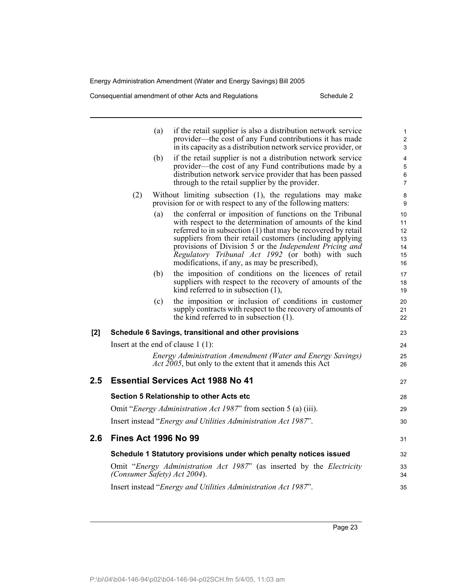Consequential amendment of other Acts and Regulations Schedule 2

|       |                             | (a) | if the retail supplier is also a distribution network service<br>provider—the cost of any Fund contributions it has made<br>in its capacity as a distribution network service provider, or                                                                                                                                                                                                                         | 1<br>$\overline{2}$<br>3               |
|-------|-----------------------------|-----|--------------------------------------------------------------------------------------------------------------------------------------------------------------------------------------------------------------------------------------------------------------------------------------------------------------------------------------------------------------------------------------------------------------------|----------------------------------------|
|       |                             | (b) | if the retail supplier is not a distribution network service<br>provider—the cost of any Fund contributions made by a<br>distribution network service provider that has been passed<br>through to the retail supplier by the provider.                                                                                                                                                                             | 4<br>5<br>6<br>$\overline{7}$          |
|       | (2)                         |     | Without limiting subsection (1), the regulations may make<br>provision for or with respect to any of the following matters:                                                                                                                                                                                                                                                                                        | 8<br>9                                 |
|       |                             | (a) | the conferral or imposition of functions on the Tribunal<br>with respect to the determination of amounts of the kind<br>referred to in subsection (1) that may be recovered by retail<br>suppliers from their retail customers (including applying<br>provisions of Division 5 or the Independent Pricing and<br>Regulatory Tribunal Act 1992 (or both) with such<br>modifications, if any, as may be prescribed), | 10<br>11<br>12<br>13<br>14<br>15<br>16 |
|       |                             | (b) | the imposition of conditions on the licences of retail<br>suppliers with respect to the recovery of amounts of the<br>kind referred to in subsection $(1)$ ,                                                                                                                                                                                                                                                       | 17<br>18<br>19                         |
|       |                             | (c) | the imposition or inclusion of conditions in customer<br>supply contracts with respect to the recovery of amounts of<br>the kind referred to in subsection $(1)$ .                                                                                                                                                                                                                                                 | 20<br>21<br>22                         |
| $[2]$ |                             |     | Schedule 6 Savings, transitional and other provisions                                                                                                                                                                                                                                                                                                                                                              | 23                                     |
|       |                             |     | Insert at the end of clause $1(1)$ :                                                                                                                                                                                                                                                                                                                                                                               | 24                                     |
|       |                             |     | Energy Administration Amendment (Water and Energy Savings)<br>Act 2005, but only to the extent that it amends this Act                                                                                                                                                                                                                                                                                             | 25<br>26                               |
| 2.5   |                             |     | <b>Essential Services Act 1988 No 41</b>                                                                                                                                                                                                                                                                                                                                                                           | 27                                     |
|       |                             |     | Section 5 Relationship to other Acts etc                                                                                                                                                                                                                                                                                                                                                                           | 28                                     |
|       |                             |     | Omit " <i>Energy Administration Act 1987</i> " from section 5 (a) (iii).                                                                                                                                                                                                                                                                                                                                           | 29                                     |
|       |                             |     | Insert instead "Energy and Utilities Administration Act 1987".                                                                                                                                                                                                                                                                                                                                                     | 30                                     |
| 2.6   | <b>Fines Act 1996 No 99</b> |     |                                                                                                                                                                                                                                                                                                                                                                                                                    | 31                                     |
|       |                             |     | Schedule 1 Statutory provisions under which penalty notices issued                                                                                                                                                                                                                                                                                                                                                 | 32                                     |
|       |                             |     | Omit "Energy Administration Act 1987" (as inserted by the Electricity<br>(Consumer Safety) Act 2004).                                                                                                                                                                                                                                                                                                              | 33<br>34                               |
|       |                             |     | Insert instead "Energy and Utilities Administration Act 1987".                                                                                                                                                                                                                                                                                                                                                     | 35                                     |

Page 23

**2.6**